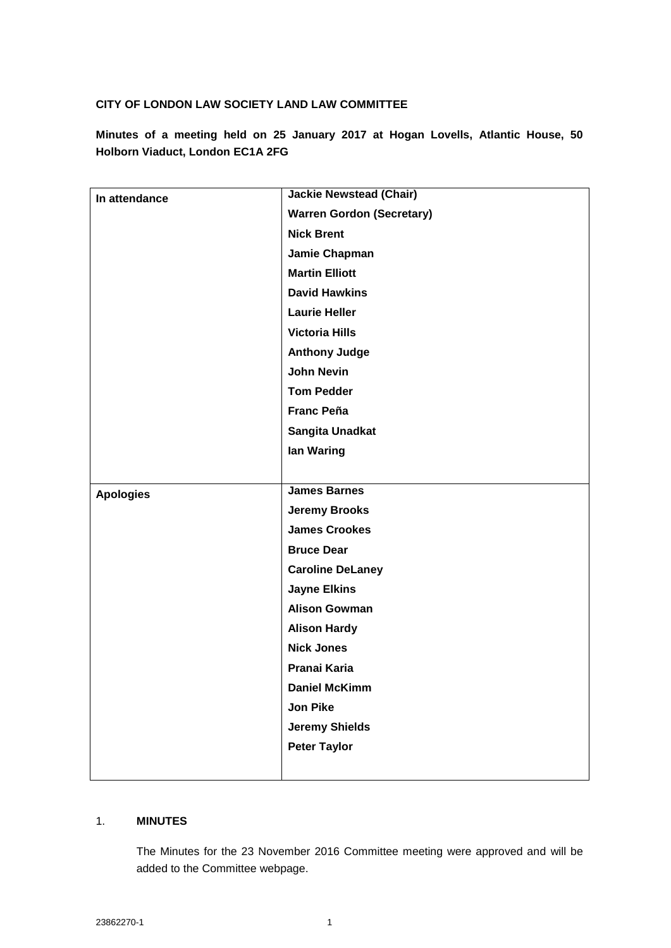### **CITY OF LONDON LAW SOCIETY LAND LAW COMMITTEE**

**Minutes of a meeting held on 25 January 2017 at Hogan Lovells, Atlantic House, 50 Holborn Viaduct, London EC1A 2FG**

| In attendance    | <b>Jackie Newstead (Chair)</b>   |
|------------------|----------------------------------|
|                  | <b>Warren Gordon (Secretary)</b> |
|                  | <b>Nick Brent</b>                |
|                  | Jamie Chapman                    |
|                  | <b>Martin Elliott</b>            |
|                  | <b>David Hawkins</b>             |
|                  | <b>Laurie Heller</b>             |
|                  | <b>Victoria Hills</b>            |
|                  | <b>Anthony Judge</b>             |
|                  | <b>John Nevin</b>                |
|                  | <b>Tom Pedder</b>                |
|                  | <b>Franc Peña</b>                |
|                  | Sangita Unadkat                  |
|                  | lan Waring                       |
|                  |                                  |
| <b>Apologies</b> | <b>James Barnes</b>              |
|                  | <b>Jeremy Brooks</b>             |
|                  | <b>James Crookes</b>             |
|                  | <b>Bruce Dear</b>                |
|                  | <b>Caroline DeLaney</b>          |
|                  | <b>Jayne Elkins</b>              |
|                  | <b>Alison Gowman</b>             |
|                  | <b>Alison Hardy</b>              |
|                  | <b>Nick Jones</b>                |
|                  | Pranai Karia                     |
|                  | <b>Daniel McKimm</b>             |
|                  | Jon Pike                         |
|                  | <b>Jeremy Shields</b>            |
|                  | <b>Peter Taylor</b>              |
|                  |                                  |

## 1. **MINUTES**

The Minutes for the 23 November 2016 Committee meeting were approved and will be added to the Committee webpage.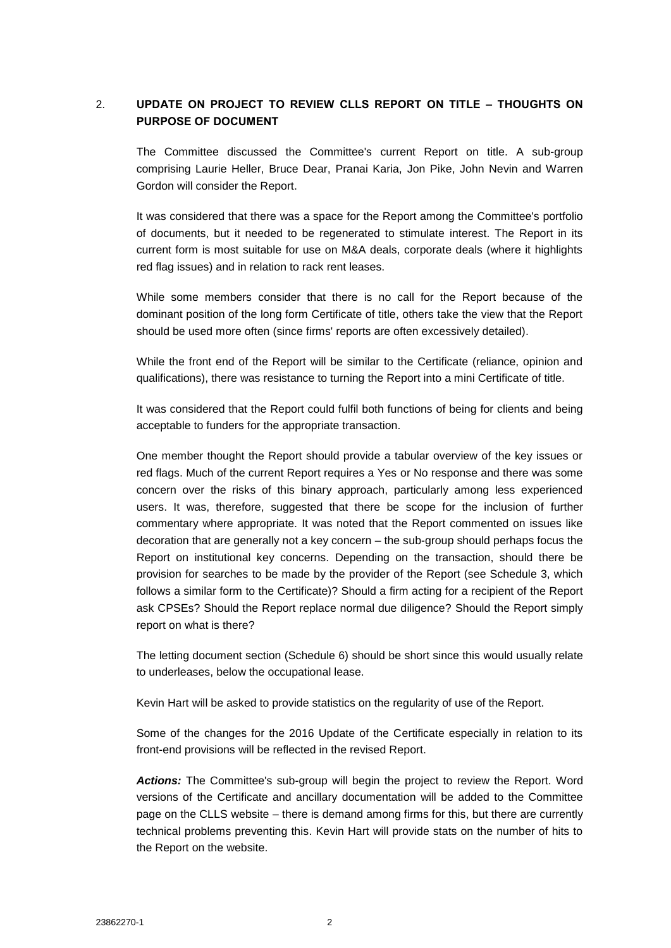# 2. **UPDATE ON PROJECT TO REVIEW CLLS REPORT ON TITLE – THOUGHTS ON PURPOSE OF DOCUMENT**

The Committee discussed the Committee's current Report on title. A sub-group comprising Laurie Heller, Bruce Dear, Pranai Karia, Jon Pike, John Nevin and Warren Gordon will consider the Report.

It was considered that there was a space for the Report among the Committee's portfolio of documents, but it needed to be regenerated to stimulate interest. The Report in its current form is most suitable for use on M&A deals, corporate deals (where it highlights red flag issues) and in relation to rack rent leases.

While some members consider that there is no call for the Report because of the dominant position of the long form Certificate of title, others take the view that the Report should be used more often (since firms' reports are often excessively detailed).

While the front end of the Report will be similar to the Certificate (reliance, opinion and qualifications), there was resistance to turning the Report into a mini Certificate of title.

It was considered that the Report could fulfil both functions of being for clients and being acceptable to funders for the appropriate transaction.

One member thought the Report should provide a tabular overview of the key issues or red flags. Much of the current Report requires a Yes or No response and there was some concern over the risks of this binary approach, particularly among less experienced users. It was, therefore, suggested that there be scope for the inclusion of further commentary where appropriate. It was noted that the Report commented on issues like decoration that are generally not a key concern – the sub-group should perhaps focus the Report on institutional key concerns. Depending on the transaction, should there be provision for searches to be made by the provider of the Report (see Schedule 3, which follows a similar form to the Certificate)? Should a firm acting for a recipient of the Report ask CPSEs? Should the Report replace normal due diligence? Should the Report simply report on what is there?

The letting document section (Schedule 6) should be short since this would usually relate to underleases, below the occupational lease.

Kevin Hart will be asked to provide statistics on the regularity of use of the Report.

Some of the changes for the 2016 Update of the Certificate especially in relation to its front-end provisions will be reflected in the revised Report.

*Actions:* The Committee's sub-group will begin the project to review the Report. Word versions of the Certificate and ancillary documentation will be added to the Committee page on the CLLS website – there is demand among firms for this, but there are currently technical problems preventing this. Kevin Hart will provide stats on the number of hits to the Report on the website.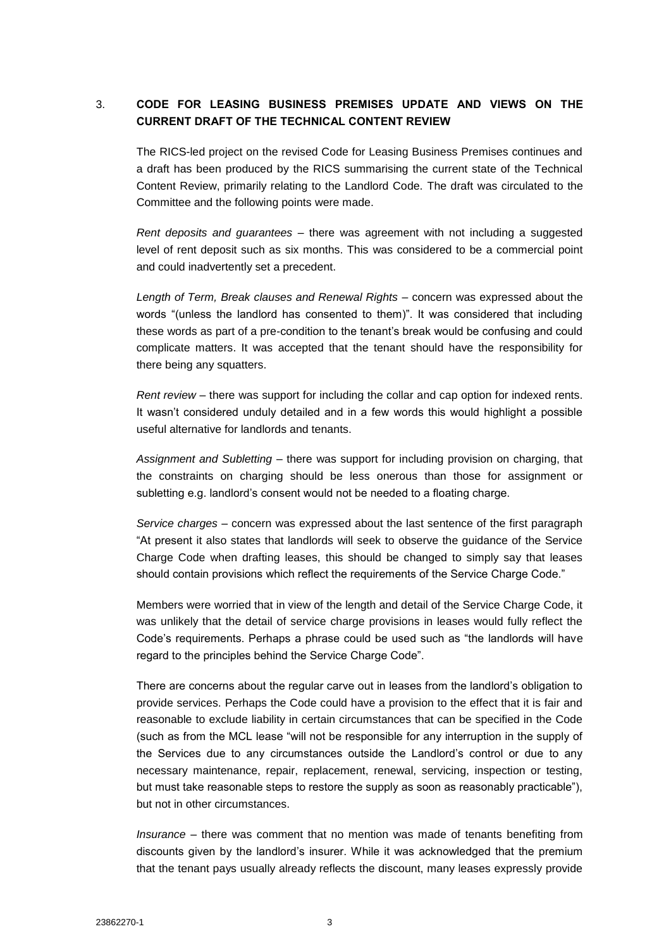# 3. **CODE FOR LEASING BUSINESS PREMISES UPDATE AND VIEWS ON THE CURRENT DRAFT OF THE TECHNICAL CONTENT REVIEW**

The RICS-led project on the revised Code for Leasing Business Premises continues and a draft has been produced by the RICS summarising the current state of the Technical Content Review, primarily relating to the Landlord Code. The draft was circulated to the Committee and the following points were made.

*Rent deposits and guarantees* – there was agreement with not including a suggested level of rent deposit such as six months. This was considered to be a commercial point and could inadvertently set a precedent.

*Length of Term, Break clauses and Renewal Rights* – concern was expressed about the words "(unless the landlord has consented to them)". It was considered that including these words as part of a pre-condition to the tenant's break would be confusing and could complicate matters. It was accepted that the tenant should have the responsibility for there being any squatters.

*Rent review* – there was support for including the collar and cap option for indexed rents. It wasn't considered unduly detailed and in a few words this would highlight a possible useful alternative for landlords and tenants.

*Assignment and Subletting* – there was support for including provision on charging, that the constraints on charging should be less onerous than those for assignment or subletting e.g. landlord's consent would not be needed to a floating charge.

*Service charges* – concern was expressed about the last sentence of the first paragraph "At present it also states that landlords will seek to observe the guidance of the Service Charge Code when drafting leases, this should be changed to simply say that leases should contain provisions which reflect the requirements of the Service Charge Code."

Members were worried that in view of the length and detail of the Service Charge Code, it was unlikely that the detail of service charge provisions in leases would fully reflect the Code's requirements. Perhaps a phrase could be used such as "the landlords will have regard to the principles behind the Service Charge Code".

There are concerns about the regular carve out in leases from the landlord's obligation to provide services. Perhaps the Code could have a provision to the effect that it is fair and reasonable to exclude liability in certain circumstances that can be specified in the Code (such as from the MCL lease "will not be responsible for any interruption in the supply of the Services due to any circumstances outside the Landlord's control or due to any necessary maintenance, repair, replacement, renewal, servicing, inspection or testing, but must take reasonable steps to restore the supply as soon as reasonably practicable"), but not in other circumstances.

*Insurance* – there was comment that no mention was made of tenants benefiting from discounts given by the landlord's insurer. While it was acknowledged that the premium that the tenant pays usually already reflects the discount, many leases expressly provide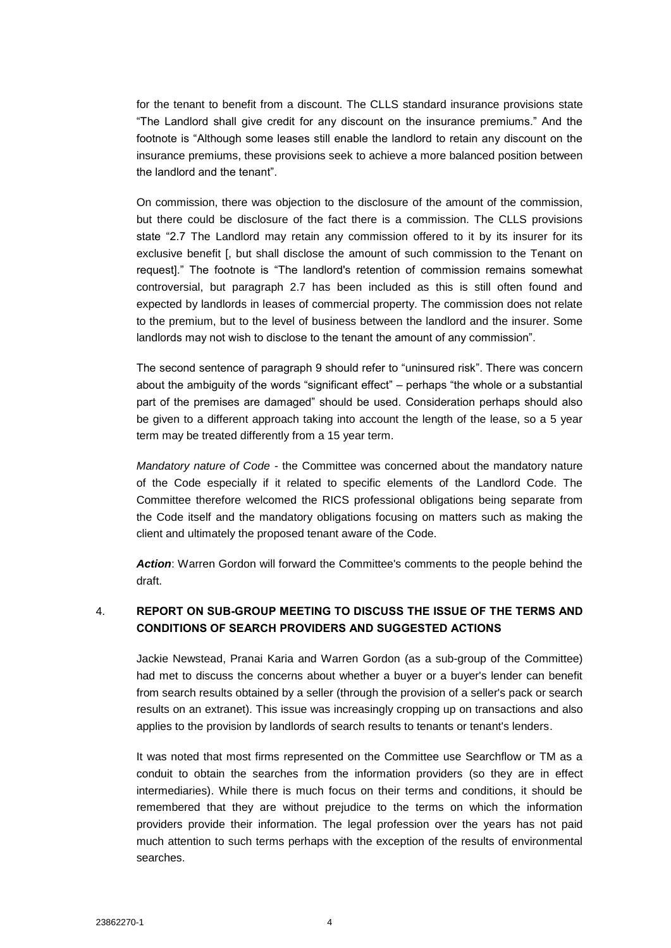for the tenant to benefit from a discount. The CLLS standard insurance provisions state "The Landlord shall give credit for any discount on the insurance premiums." And the footnote is "Although some leases still enable the landlord to retain any discount on the insurance premiums, these provisions seek to achieve a more balanced position between the landlord and the tenant".

On commission, there was objection to the disclosure of the amount of the commission, but there could be disclosure of the fact there is a commission. The CLLS provisions state "2.7 The Landlord may retain any commission offered to it by its insurer for its exclusive benefit [, but shall disclose the amount of such commission to the Tenant on request]." The footnote is "The landlord's retention of commission remains somewhat controversial, but paragraph 2.7 has been included as this is still often found and expected by landlords in leases of commercial property. The commission does not relate to the premium, but to the level of business between the landlord and the insurer. Some landlords may not wish to disclose to the tenant the amount of any commission".

The second sentence of paragraph 9 should refer to "uninsured risk". There was concern about the ambiguity of the words "significant effect" – perhaps "the whole or a substantial part of the premises are damaged" should be used. Consideration perhaps should also be given to a different approach taking into account the length of the lease, so a 5 year term may be treated differently from a 15 year term.

*Mandatory nature of Code* - the Committee was concerned about the mandatory nature of the Code especially if it related to specific elements of the Landlord Code. The Committee therefore welcomed the RICS professional obligations being separate from the Code itself and the mandatory obligations focusing on matters such as making the client and ultimately the proposed tenant aware of the Code.

*Action*: Warren Gordon will forward the Committee's comments to the people behind the draft.

## 4. **REPORT ON SUB-GROUP MEETING TO DISCUSS THE ISSUE OF THE TERMS AND CONDITIONS OF SEARCH PROVIDERS AND SUGGESTED ACTIONS**

Jackie Newstead, Pranai Karia and Warren Gordon (as a sub-group of the Committee) had met to discuss the concerns about whether a buyer or a buyer's lender can benefit from search results obtained by a seller (through the provision of a seller's pack or search results on an extranet). This issue was increasingly cropping up on transactions and also applies to the provision by landlords of search results to tenants or tenant's lenders.

It was noted that most firms represented on the Committee use Searchflow or TM as a conduit to obtain the searches from the information providers (so they are in effect intermediaries). While there is much focus on their terms and conditions, it should be remembered that they are without prejudice to the terms on which the information providers provide their information. The legal profession over the years has not paid much attention to such terms perhaps with the exception of the results of environmental searches.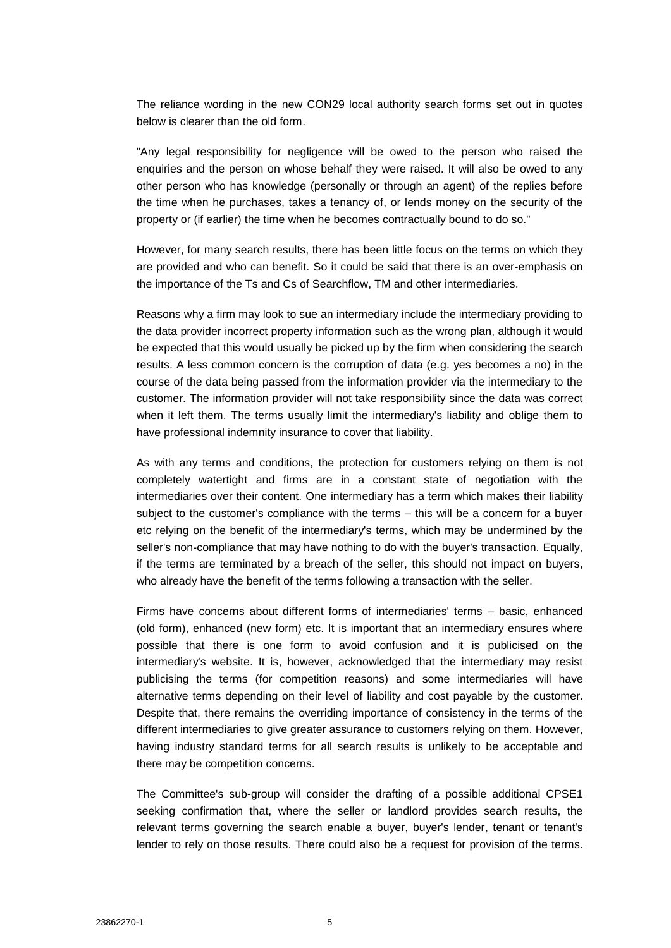The reliance wording in the new CON29 local authority search forms set out in quotes below is clearer than the old form.

"Any legal responsibility for negligence will be owed to the person who raised the enquiries and the person on whose behalf they were raised. It will also be owed to any other person who has knowledge (personally or through an agent) of the replies before the time when he purchases, takes a tenancy of, or lends money on the security of the property or (if earlier) the time when he becomes contractually bound to do so."

However, for many search results, there has been little focus on the terms on which they are provided and who can benefit. So it could be said that there is an over-emphasis on the importance of the Ts and Cs of Searchflow, TM and other intermediaries.

Reasons why a firm may look to sue an intermediary include the intermediary providing to the data provider incorrect property information such as the wrong plan, although it would be expected that this would usually be picked up by the firm when considering the search results. A less common concern is the corruption of data (e.g. yes becomes a no) in the course of the data being passed from the information provider via the intermediary to the customer. The information provider will not take responsibility since the data was correct when it left them. The terms usually limit the intermediary's liability and oblige them to have professional indemnity insurance to cover that liability.

As with any terms and conditions, the protection for customers relying on them is not completely watertight and firms are in a constant state of negotiation with the intermediaries over their content. One intermediary has a term which makes their liability subject to the customer's compliance with the terms – this will be a concern for a buyer etc relying on the benefit of the intermediary's terms, which may be undermined by the seller's non-compliance that may have nothing to do with the buyer's transaction. Equally, if the terms are terminated by a breach of the seller, this should not impact on buyers, who already have the benefit of the terms following a transaction with the seller.

Firms have concerns about different forms of intermediaries' terms – basic, enhanced (old form), enhanced (new form) etc. It is important that an intermediary ensures where possible that there is one form to avoid confusion and it is publicised on the intermediary's website. It is, however, acknowledged that the intermediary may resist publicising the terms (for competition reasons) and some intermediaries will have alternative terms depending on their level of liability and cost payable by the customer. Despite that, there remains the overriding importance of consistency in the terms of the different intermediaries to give greater assurance to customers relying on them. However, having industry standard terms for all search results is unlikely to be acceptable and there may be competition concerns.

The Committee's sub-group will consider the drafting of a possible additional CPSE1 seeking confirmation that, where the seller or landlord provides search results, the relevant terms governing the search enable a buyer, buyer's lender, tenant or tenant's lender to rely on those results. There could also be a request for provision of the terms.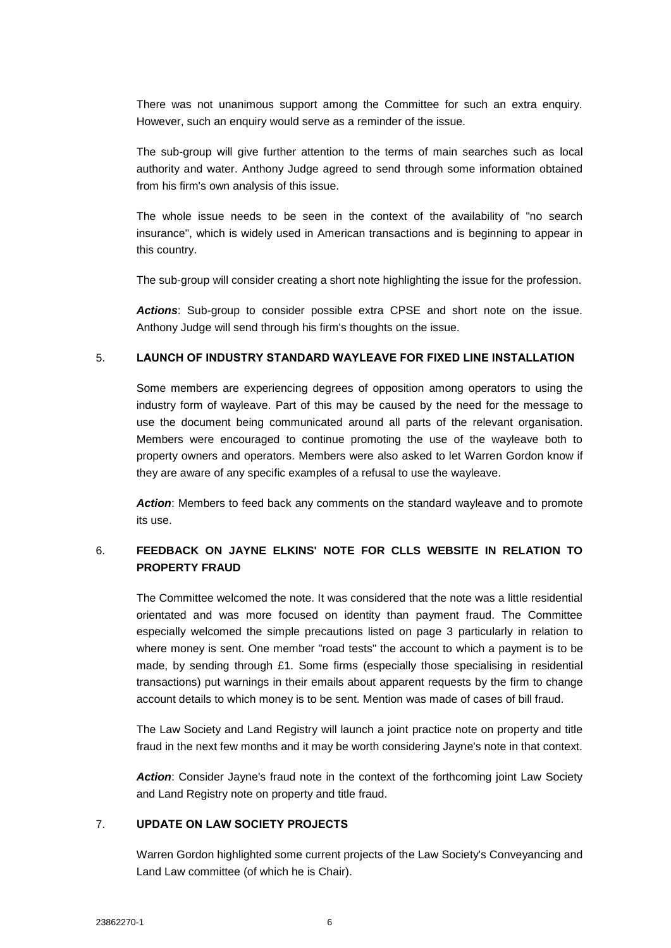There was not unanimous support among the Committee for such an extra enquiry. However, such an enquiry would serve as a reminder of the issue.

The sub-group will give further attention to the terms of main searches such as local authority and water. Anthony Judge agreed to send through some information obtained from his firm's own analysis of this issue.

The whole issue needs to be seen in the context of the availability of "no search insurance", which is widely used in American transactions and is beginning to appear in this country.

The sub-group will consider creating a short note highlighting the issue for the profession.

*Actions*: Sub-group to consider possible extra CPSE and short note on the issue. Anthony Judge will send through his firm's thoughts on the issue.

### 5. **LAUNCH OF INDUSTRY STANDARD WAYLEAVE FOR FIXED LINE INSTALLATION**

Some members are experiencing degrees of opposition among operators to using the industry form of wayleave. Part of this may be caused by the need for the message to use the document being communicated around all parts of the relevant organisation. Members were encouraged to continue promoting the use of the wayleave both to property owners and operators. Members were also asked to let Warren Gordon know if they are aware of any specific examples of a refusal to use the wayleave.

*Action*: Members to feed back any comments on the standard wayleave and to promote its use.

# 6. **FEEDBACK ON JAYNE ELKINS' NOTE FOR CLLS WEBSITE IN RELATION TO PROPERTY FRAUD**

The Committee welcomed the note. It was considered that the note was a little residential orientated and was more focused on identity than payment fraud. The Committee especially welcomed the simple precautions listed on page 3 particularly in relation to where money is sent. One member "road tests" the account to which a payment is to be made, by sending through £1. Some firms (especially those specialising in residential transactions) put warnings in their emails about apparent requests by the firm to change account details to which money is to be sent. Mention was made of cases of bill fraud.

The Law Society and Land Registry will launch a joint practice note on property and title fraud in the next few months and it may be worth considering Jayne's note in that context.

*Action*: Consider Jayne's fraud note in the context of the forthcoming joint Law Society and Land Registry note on property and title fraud.

### 7. **UPDATE ON LAW SOCIETY PROJECTS**

Warren Gordon highlighted some current projects of the Law Society's Conveyancing and Land Law committee (of which he is Chair).